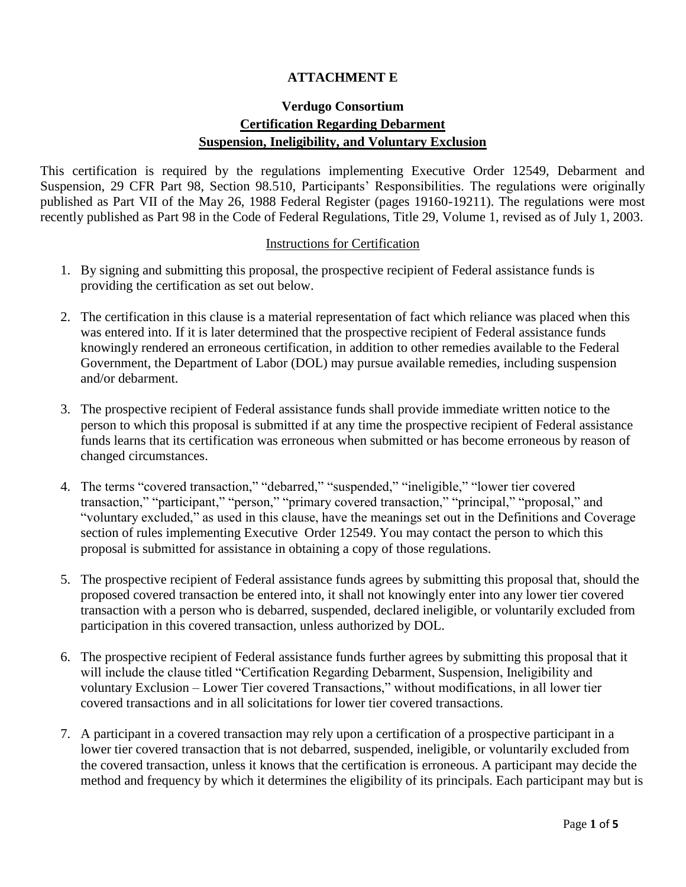#### **ATTACHMENT E**

## **Verdugo Consortium Certification Regarding Debarment Suspension, Ineligibility, and Voluntary Exclusion**

This certification is required by the regulations implementing Executive Order 12549, Debarment and Suspension, 29 CFR Part 98, Section 98.510, Participants' Responsibilities. The regulations were originally published as Part VII of the May 26, 1988 Federal Register (pages 19160-19211). The regulations were most recently published as Part 98 in the Code of Federal Regulations, Title 29, Volume 1, revised as of July 1, 2003.

#### Instructions for Certification

- 1. By signing and submitting this proposal, the prospective recipient of Federal assistance funds is providing the certification as set out below.
- 2. The certification in this clause is a material representation of fact which reliance was placed when this was entered into. If it is later determined that the prospective recipient of Federal assistance funds knowingly rendered an erroneous certification, in addition to other remedies available to the Federal Government, the Department of Labor (DOL) may pursue available remedies, including suspension and/or debarment.
- 3. The prospective recipient of Federal assistance funds shall provide immediate written notice to the person to which this proposal is submitted if at any time the prospective recipient of Federal assistance funds learns that its certification was erroneous when submitted or has become erroneous by reason of changed circumstances.
- 4. The terms "covered transaction," "debarred," "suspended," "ineligible," "lower tier covered transaction," "participant," "person," "primary covered transaction," "principal," "proposal," and "voluntary excluded," as used in this clause, have the meanings set out in the Definitions and Coverage section of rules implementing Executive Order 12549. You may contact the person to which this proposal is submitted for assistance in obtaining a copy of those regulations.
- 5. The prospective recipient of Federal assistance funds agrees by submitting this proposal that, should the proposed covered transaction be entered into, it shall not knowingly enter into any lower tier covered transaction with a person who is debarred, suspended, declared ineligible, or voluntarily excluded from participation in this covered transaction, unless authorized by DOL.
- 6. The prospective recipient of Federal assistance funds further agrees by submitting this proposal that it will include the clause titled "Certification Regarding Debarment, Suspension, Ineligibility and voluntary Exclusion – Lower Tier covered Transactions," without modifications, in all lower tier covered transactions and in all solicitations for lower tier covered transactions.
- 7. A participant in a covered transaction may rely upon a certification of a prospective participant in a lower tier covered transaction that is not debarred, suspended, ineligible, or voluntarily excluded from the covered transaction, unless it knows that the certification is erroneous. A participant may decide the method and frequency by which it determines the eligibility of its principals. Each participant may but is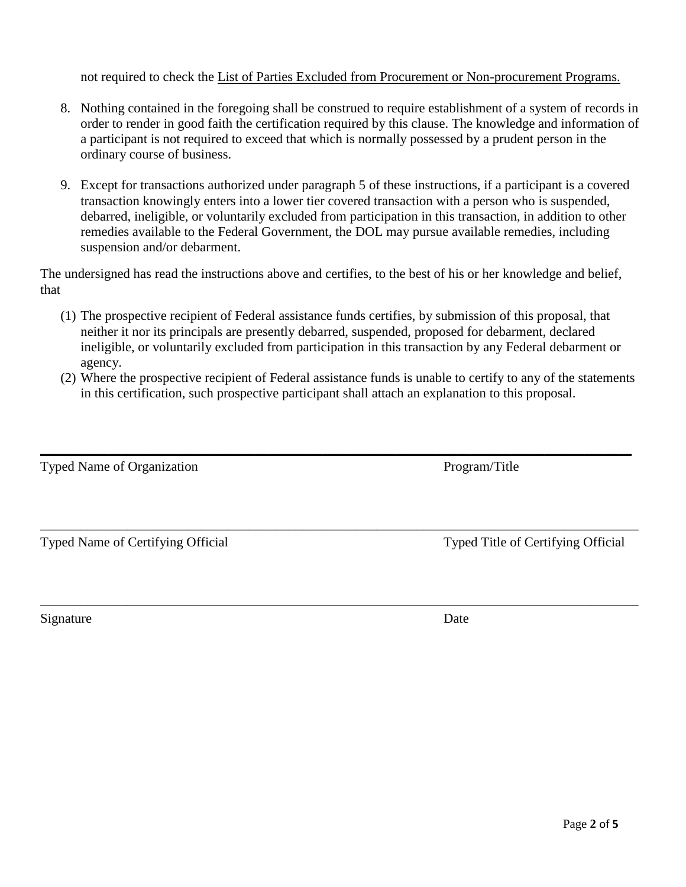not required to check the List of Parties Excluded from Procurement or Non-procurement Programs.

- 8. Nothing contained in the foregoing shall be construed to require establishment of a system of records in order to render in good faith the certification required by this clause. The knowledge and information of a participant is not required to exceed that which is normally possessed by a prudent person in the ordinary course of business.
- 9. Except for transactions authorized under paragraph 5 of these instructions, if a participant is a covered transaction knowingly enters into a lower tier covered transaction with a person who is suspended, debarred, ineligible, or voluntarily excluded from participation in this transaction, in addition to other remedies available to the Federal Government, the DOL may pursue available remedies, including suspension and/or debarment.

The undersigned has read the instructions above and certifies, to the best of his or her knowledge and belief, that

- (1) The prospective recipient of Federal assistance funds certifies, by submission of this proposal, that neither it nor its principals are presently debarred, suspended, proposed for debarment, declared ineligible, or voluntarily excluded from participation in this transaction by any Federal debarment or agency.
- (2) Where the prospective recipient of Federal assistance funds is unable to certify to any of the statements in this certification, such prospective participant shall attach an explanation to this proposal.

 $\_$  , and the set of the set of the set of the set of the set of the set of the set of the set of the set of the set of the set of the set of the set of the set of the set of the set of the set of the set of the set of th

\_\_\_\_\_\_\_\_\_\_\_\_\_\_\_\_\_\_\_\_\_\_\_\_\_\_\_\_\_\_\_\_\_\_\_\_\_\_\_\_\_\_\_\_\_\_\_\_\_\_\_\_\_\_\_\_\_\_\_\_\_\_\_\_\_\_\_\_\_\_\_\_\_\_\_\_\_\_\_\_\_\_\_\_\_\_\_\_\_

\_\_\_\_\_\_\_\_\_\_\_\_\_\_\_\_\_\_\_\_\_\_\_\_\_\_\_\_\_\_\_\_\_\_\_\_\_\_\_\_\_\_\_\_\_\_\_\_\_\_\_\_\_\_\_\_\_\_\_\_\_\_\_\_\_\_\_\_\_\_\_\_\_\_\_\_\_\_\_\_\_\_\_\_\_\_\_\_\_

Typed Name of Organization Program/Title

Typed Name of Certifying Official Typed Title of Certifying Official

Signature Date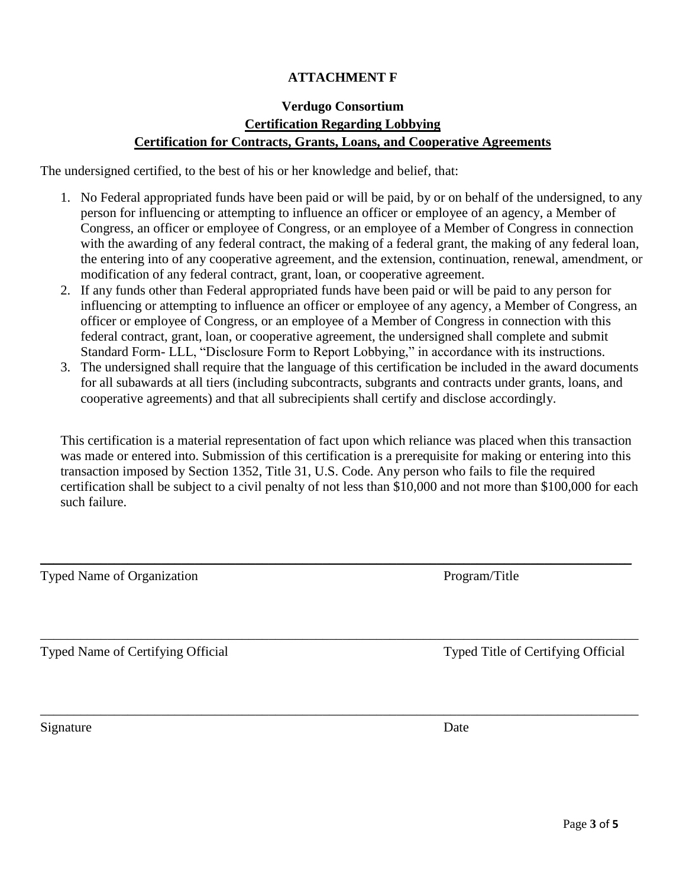## **ATTACHMENT F**

# **Verdugo Consortium Certification Regarding Lobbying Certification for Contracts, Grants, Loans, and Cooperative Agreements**

The undersigned certified, to the best of his or her knowledge and belief, that:

- 1. No Federal appropriated funds have been paid or will be paid, by or on behalf of the undersigned, to any person for influencing or attempting to influence an officer or employee of an agency, a Member of Congress, an officer or employee of Congress, or an employee of a Member of Congress in connection with the awarding of any federal contract, the making of a federal grant, the making of any federal loan, the entering into of any cooperative agreement, and the extension, continuation, renewal, amendment, or modification of any federal contract, grant, loan, or cooperative agreement.
- 2. If any funds other than Federal appropriated funds have been paid or will be paid to any person for influencing or attempting to influence an officer or employee of any agency, a Member of Congress, an officer or employee of Congress, or an employee of a Member of Congress in connection with this federal contract, grant, loan, or cooperative agreement, the undersigned shall complete and submit Standard Form- LLL, "Disclosure Form to Report Lobbying," in accordance with its instructions.
- 3. The undersigned shall require that the language of this certification be included in the award documents for all subawards at all tiers (including subcontracts, subgrants and contracts under grants, loans, and cooperative agreements) and that all subrecipients shall certify and disclose accordingly.

This certification is a material representation of fact upon which reliance was placed when this transaction was made or entered into. Submission of this certification is a prerequisite for making or entering into this transaction imposed by Section 1352, Title 31, U.S. Code. Any person who fails to file the required certification shall be subject to a civil penalty of not less than \$10,000 and not more than \$100,000 for each such failure.

 $\_$  , and the set of the set of the set of the set of the set of the set of the set of the set of the set of the set of the set of the set of the set of the set of the set of the set of the set of the set of the set of th

\_\_\_\_\_\_\_\_\_\_\_\_\_\_\_\_\_\_\_\_\_\_\_\_\_\_\_\_\_\_\_\_\_\_\_\_\_\_\_\_\_\_\_\_\_\_\_\_\_\_\_\_\_\_\_\_\_\_\_\_\_\_\_\_\_\_\_\_\_\_\_\_\_\_\_\_\_\_\_\_\_\_\_\_\_\_\_\_\_

\_\_\_\_\_\_\_\_\_\_\_\_\_\_\_\_\_\_\_\_\_\_\_\_\_\_\_\_\_\_\_\_\_\_\_\_\_\_\_\_\_\_\_\_\_\_\_\_\_\_\_\_\_\_\_\_\_\_\_\_\_\_\_\_\_\_\_\_\_\_\_\_\_\_\_\_\_\_\_\_\_\_\_\_\_\_\_\_\_

Typed Name of Organization Program/Title

Typed Name of Certifying Official Typed Title of Certifying Official

Signature Date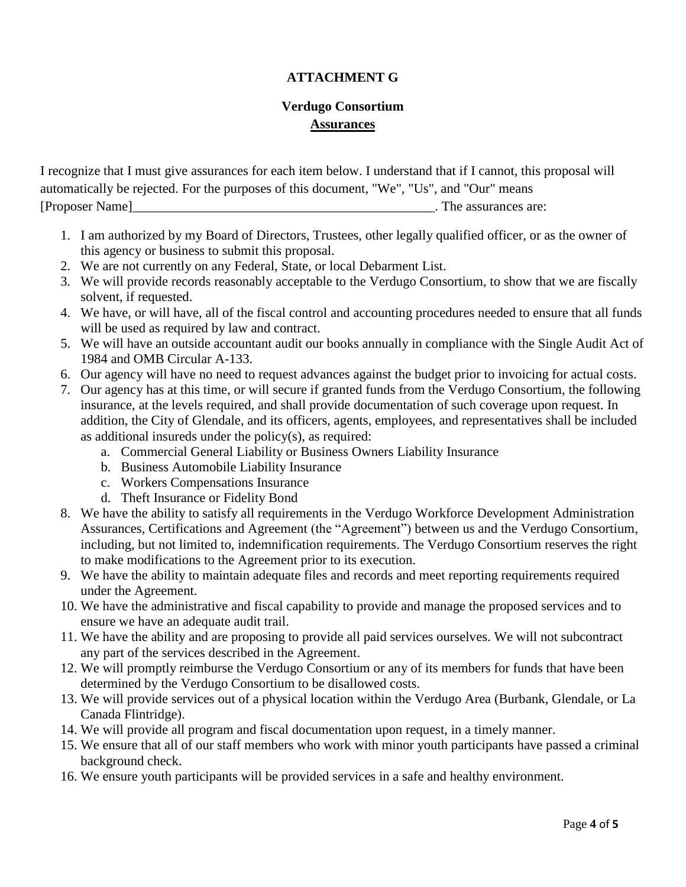### **ATTACHMENT G**

## **Verdugo Consortium Assurances**

I recognize that I must give assurances for each item below. I understand that if I cannot, this proposal will automatically be rejected. For the purposes of this document, "We", "Us", and "Our" means [Proposer Name]\_\_\_\_\_\_\_\_\_\_\_\_\_\_\_\_\_\_\_\_\_\_\_\_\_\_\_\_\_\_\_\_\_\_\_\_\_\_\_\_\_\_\_\_\_. The assurances are:

- 1. I am authorized by my Board of Directors, Trustees, other legally qualified officer, or as the owner of this agency or business to submit this proposal.
- 2. We are not currently on any Federal, State, or local Debarment List.
- 3. We will provide records reasonably acceptable to the Verdugo Consortium, to show that we are fiscally solvent, if requested.
- 4. We have, or will have, all of the fiscal control and accounting procedures needed to ensure that all funds will be used as required by law and contract.
- 5. We will have an outside accountant audit our books annually in compliance with the Single Audit Act of 1984 and OMB Circular A-133.
- 6. Our agency will have no need to request advances against the budget prior to invoicing for actual costs.
- 7. Our agency has at this time, or will secure if granted funds from the Verdugo Consortium, the following insurance, at the levels required, and shall provide documentation of such coverage upon request. In addition, the City of Glendale, and its officers, agents, employees, and representatives shall be included as additional insureds under the policy(s), as required:
	- a. Commercial General Liability or Business Owners Liability Insurance
	- b. Business Automobile Liability Insurance
	- c. Workers Compensations Insurance
	- d. Theft Insurance or Fidelity Bond
- 8. We have the ability to satisfy all requirements in the Verdugo Workforce Development Administration Assurances, Certifications and Agreement (the "Agreement") between us and the Verdugo Consortium, including, but not limited to, indemnification requirements. The Verdugo Consortium reserves the right to make modifications to the Agreement prior to its execution.
- 9. We have the ability to maintain adequate files and records and meet reporting requirements required under the Agreement.
- 10. We have the administrative and fiscal capability to provide and manage the proposed services and to ensure we have an adequate audit trail.
- 11. We have the ability and are proposing to provide all paid services ourselves. We will not subcontract any part of the services described in the Agreement.
- 12. We will promptly reimburse the Verdugo Consortium or any of its members for funds that have been determined by the Verdugo Consortium to be disallowed costs.
- 13. We will provide services out of a physical location within the Verdugo Area (Burbank, Glendale, or La Canada Flintridge).
- 14. We will provide all program and fiscal documentation upon request, in a timely manner.
- 15. We ensure that all of our staff members who work with minor youth participants have passed a criminal background check.
- 16. We ensure youth participants will be provided services in a safe and healthy environment.